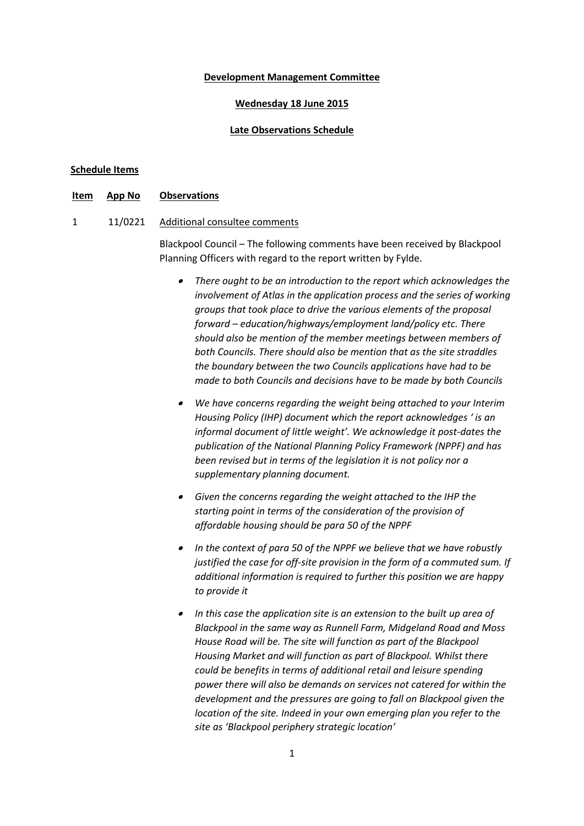#### **Development Management Committee**

#### **Wednesday 18 June 2015**

### **Late Observations Schedule**

#### **Schedule Items**

**Item App No Observations**

### 1 11/0221 Additional consultee comments

Blackpool Council – The following comments have been received by Blackpool Planning Officers with regard to the report written by Fylde.

- *There ought to be an introduction to the report which acknowledges the involvement of Atlas in the application process and the series of working groups that took place to drive the various elements of the proposal forward – education/highways/employment land/policy etc. There should also be mention of the member meetings between members of both Councils. There should also be mention that as the site straddles the boundary between the two Councils applications have had to be made to both Councils and decisions have to be made by both Councils*
- *We have concerns regarding the weight being attached to your Interim Housing Policy (IHP) document which the report acknowledges ' is an informal document of little weight'. We acknowledge it post-dates the publication of the National Planning Policy Framework (NPPF) and has been revised but in terms of the legislation it is not policy nor a supplementary planning document.*
- *Given the concerns regarding the weight attached to the IHP the starting point in terms of the consideration of the provision of affordable housing should be para 50 of the NPPF*
- *In the context of para 50 of the NPPF we believe that we have robustly justified the case for off-site provision in the form of a commuted sum. If additional information is required to further this position we are happy to provide it*
- *In this case the application site is an extension to the built up area of Blackpool in the same way as Runnell Farm, Midgeland Road and Moss House Road will be. The site will function as part of the Blackpool Housing Market and will function as part of Blackpool. Whilst there could be benefits in terms of additional retail and leisure spending power there will also be demands on services not catered for within the development and the pressures are going to fall on Blackpool given the location of the site. Indeed in your own emerging plan you refer to the site as 'Blackpool periphery strategic location'*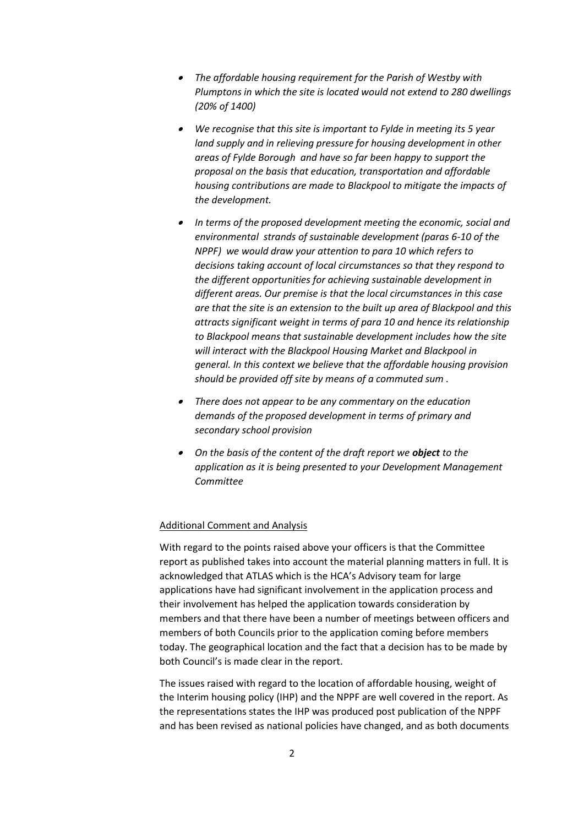- *The affordable housing requirement for the Parish of Westby with Plumptons in which the site is located would not extend to 280 dwellings (20% of 1400)*
- *We recognise that this site is important to Fylde in meeting its 5 year land supply and in relieving pressure for housing development in other areas of Fylde Borough and have so far been happy to support the proposal on the basis that education, transportation and affordable housing contributions are made to Blackpool to mitigate the impacts of the development.*
- *In terms of the proposed development meeting the economic, social and environmental strands of sustainable development (paras 6-10 of the NPPF) we would draw your attention to para 10 which refers to decisions taking account of local circumstances so that they respond to the different opportunities for achieving sustainable development in different areas. Our premise is that the local circumstances in this case are that the site is an extension to the built up area of Blackpool and this attracts significant weight in terms of para 10 and hence its relationship to Blackpool means that sustainable development includes how the site will interact with the Blackpool Housing Market and Blackpool in general. In this context we believe that the affordable housing provision should be provided off site by means of a commuted sum .*
- *There does not appear to be any commentary on the education demands of the proposed development in terms of primary and secondary school provision*
- *On the basis of the content of the draft report we object to the application as it is being presented to your Development Management Committee*

### Additional Comment and Analysis

With regard to the points raised above your officers is that the Committee report as published takes into account the material planning matters in full. It is acknowledged that ATLAS which is the HCA's Advisory team for large applications have had significant involvement in the application process and their involvement has helped the application towards consideration by members and that there have been a number of meetings between officers and members of both Councils prior to the application coming before members today. The geographical location and the fact that a decision has to be made by both Council's is made clear in the report.

The issues raised with regard to the location of affordable housing, weight of the Interim housing policy (IHP) and the NPPF are well covered in the report. As the representations states the IHP was produced post publication of the NPPF and has been revised as national policies have changed, and as both documents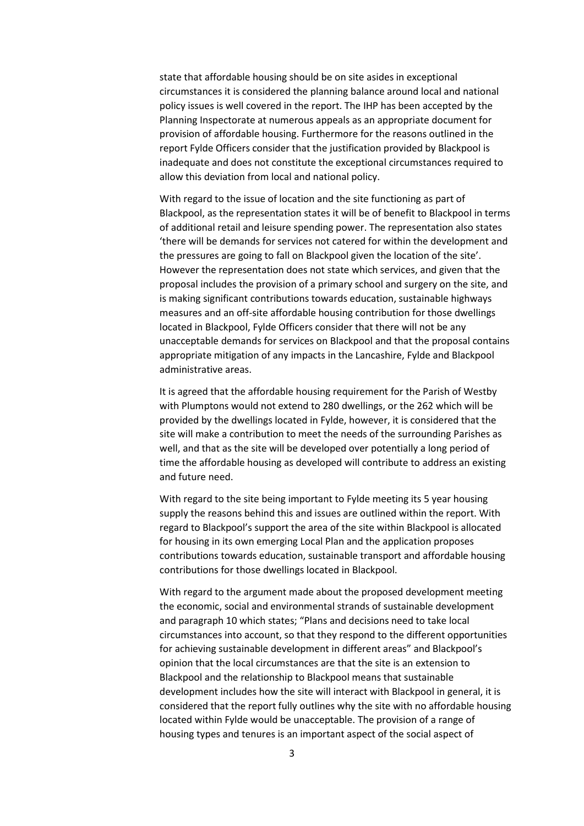state that affordable housing should be on site asides in exceptional circumstances it is considered the planning balance around local and national policy issues is well covered in the report. The IHP has been accepted by the Planning Inspectorate at numerous appeals as an appropriate document for provision of affordable housing. Furthermore for the reasons outlined in the report Fylde Officers consider that the justification provided by Blackpool is inadequate and does not constitute the exceptional circumstances required to allow this deviation from local and national policy.

With regard to the issue of location and the site functioning as part of Blackpool, as the representation states it will be of benefit to Blackpool in terms of additional retail and leisure spending power. The representation also states 'there will be demands for services not catered for within the development and the pressures are going to fall on Blackpool given the location of the site'. However the representation does not state which services, and given that the proposal includes the provision of a primary school and surgery on the site, and is making significant contributions towards education, sustainable highways measures and an off-site affordable housing contribution for those dwellings located in Blackpool, Fylde Officers consider that there will not be any unacceptable demands for services on Blackpool and that the proposal contains appropriate mitigation of any impacts in the Lancashire, Fylde and Blackpool administrative areas.

It is agreed that the affordable housing requirement for the Parish of Westby with Plumptons would not extend to 280 dwellings, or the 262 which will be provided by the dwellings located in Fylde, however, it is considered that the site will make a contribution to meet the needs of the surrounding Parishes as well, and that as the site will be developed over potentially a long period of time the affordable housing as developed will contribute to address an existing and future need.

With regard to the site being important to Fylde meeting its 5 year housing supply the reasons behind this and issues are outlined within the report. With regard to Blackpool's support the area of the site within Blackpool is allocated for housing in its own emerging Local Plan and the application proposes contributions towards education, sustainable transport and affordable housing contributions for those dwellings located in Blackpool.

With regard to the argument made about the proposed development meeting the economic, social and environmental strands of sustainable development and paragraph 10 which states; "Plans and decisions need to take local circumstances into account, so that they respond to the different opportunities for achieving sustainable development in different areas" and Blackpool's opinion that the local circumstances are that the site is an extension to Blackpool and the relationship to Blackpool means that sustainable development includes how the site will interact with Blackpool in general, it is considered that the report fully outlines why the site with no affordable housing located within Fylde would be unacceptable. The provision of a range of housing types and tenures is an important aspect of the social aspect of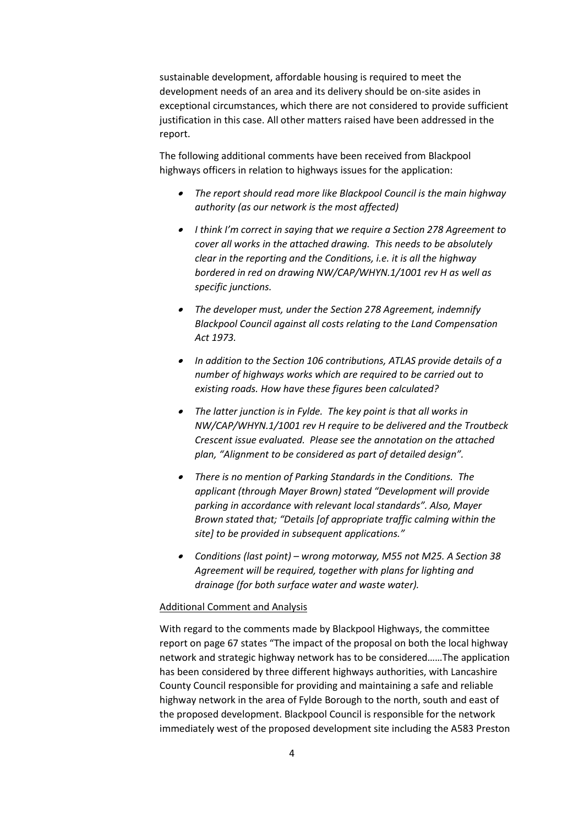sustainable development, affordable housing is required to meet the development needs of an area and its delivery should be on-site asides in exceptional circumstances, which there are not considered to provide sufficient justification in this case. All other matters raised have been addressed in the report.

The following additional comments have been received from Blackpool highways officers in relation to highways issues for the application:

- *The report should read more like Blackpool Council is the main highway authority (as our network is the most affected)*
- *I think I'm correct in saying that we require a Section 278 Agreement to cover all works in the attached drawing. This needs to be absolutely clear in the reporting and the Conditions, i.e. it is all the highway bordered in red on drawing NW/CAP/WHYN.1/1001 rev H as well as specific junctions.*
- *The developer must, under the Section 278 Agreement, indemnify Blackpool Council against all costs relating to the Land Compensation Act 1973.*
- *In addition to the Section 106 contributions, ATLAS provide details of a number of highways works which are required to be carried out to existing roads. How have these figures been calculated?*
- *The latter junction is in Fylde. The key point is that all works in NW/CAP/WHYN.1/1001 rev H require to be delivered and the Troutbeck Crescent issue evaluated. Please see the annotation on the attached plan, "Alignment to be considered as part of detailed design".*
- *There is no mention of Parking Standards in the Conditions. The applicant (through Mayer Brown) stated "Development will provide parking in accordance with relevant local standards". Also, Mayer Brown stated that; "Details [of appropriate traffic calming within the site] to be provided in subsequent applications."*
- *Conditions (last point) – wrong motorway, M55 not M25. A Section 38 Agreement will be required, together with plans for lighting and drainage (for both surface water and waste water).*

### Additional Comment and Analysis

With regard to the comments made by Blackpool Highways, the committee report on page 67 states "The impact of the proposal on both the local highway network and strategic highway network has to be considered……The application has been considered by three different highways authorities, with Lancashire County Council responsible for providing and maintaining a safe and reliable highway network in the area of Fylde Borough to the north, south and east of the proposed development. Blackpool Council is responsible for the network immediately west of the proposed development site including the A583 Preston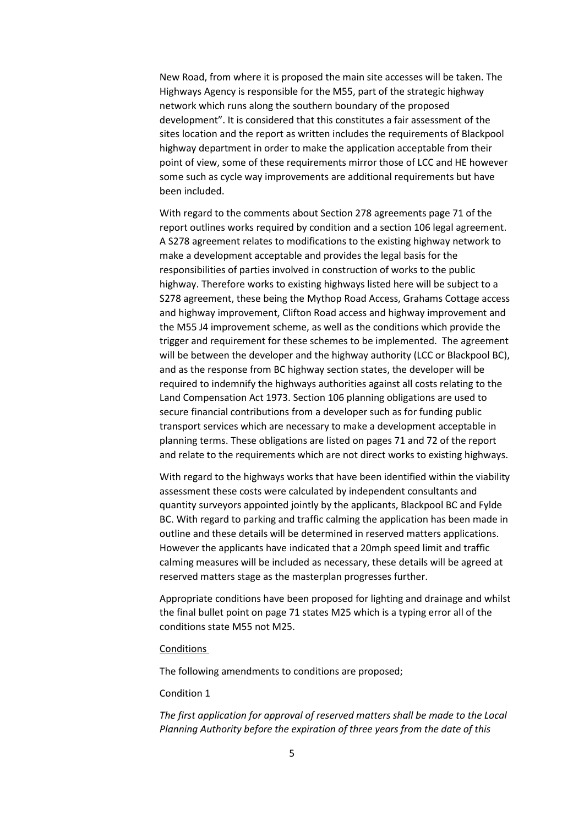New Road, from where it is proposed the main site accesses will be taken. The Highways Agency is responsible for the M55, part of the strategic highway network which runs along the southern boundary of the proposed development". It is considered that this constitutes a fair assessment of the sites location and the report as written includes the requirements of Blackpool highway department in order to make the application acceptable from their point of view, some of these requirements mirror those of LCC and HE however some such as cycle way improvements are additional requirements but have been included.

With regard to the comments about Section 278 agreements page 71 of the report outlines works required by condition and a section 106 legal agreement. A S278 agreement relates to modifications to the existing highway network to make a development acceptable and provides the legal basis for the responsibilities of parties involved in construction of works to the public highway. Therefore works to existing highways listed here will be subject to a S278 agreement, these being the Mythop Road Access, Grahams Cottage access and highway improvement, Clifton Road access and highway improvement and the M55 J4 improvement scheme, as well as the conditions which provide the trigger and requirement for these schemes to be implemented. The agreement will be between the developer and the highway authority (LCC or Blackpool BC), and as the response from BC highway section states, the developer will be required to indemnify the highways authorities against all costs relating to the Land Compensation Act 1973. Section 106 planning obligations are used to secure financial contributions from a developer such as for funding public transport services which are necessary to make a development acceptable in planning terms. These obligations are listed on pages 71 and 72 of the report and relate to the requirements which are not direct works to existing highways.

With regard to the highways works that have been identified within the viability assessment these costs were calculated by independent consultants and quantity surveyors appointed jointly by the applicants, Blackpool BC and Fylde BC. With regard to parking and traffic calming the application has been made in outline and these details will be determined in reserved matters applications. However the applicants have indicated that a 20mph speed limit and traffic calming measures will be included as necessary, these details will be agreed at reserved matters stage as the masterplan progresses further.

Appropriate conditions have been proposed for lighting and drainage and whilst the final bullet point on page 71 states M25 which is a typing error all of the conditions state M55 not M25.

#### Conditions

The following amendments to conditions are proposed;

#### Condition 1

*The first application for approval of reserved matters shall be made to the Local Planning Authority before the expiration of three years from the date of this*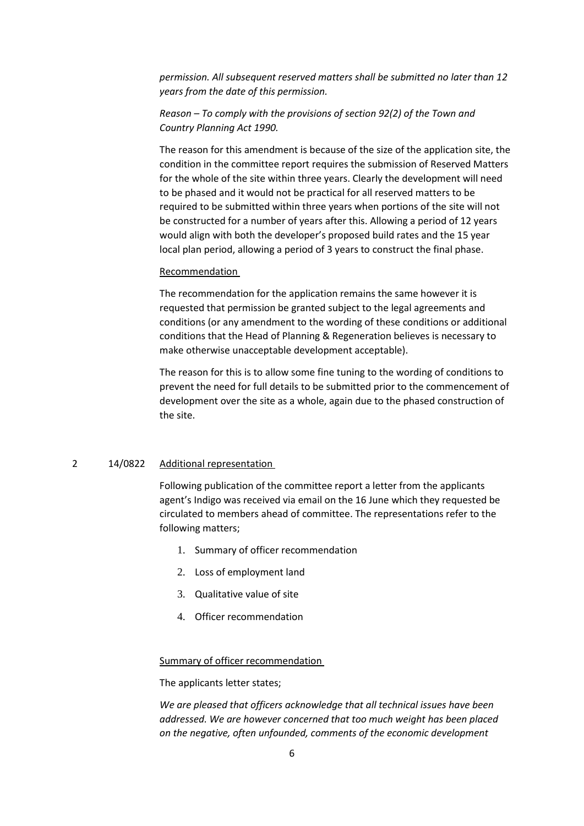*permission. All subsequent reserved matters shall be submitted no later than 12 years from the date of this permission.*

# *Reason – To comply with the provisions of section 92(2) of the Town and Country Planning Act 1990.*

The reason for this amendment is because of the size of the application site, the condition in the committee report requires the submission of Reserved Matters for the whole of the site within three years. Clearly the development will need to be phased and it would not be practical for all reserved matters to be required to be submitted within three years when portions of the site will not be constructed for a number of years after this. Allowing a period of 12 years would align with both the developer's proposed build rates and the 15 year local plan period, allowing a period of 3 years to construct the final phase.

#### Recommendation

The recommendation for the application remains the same however it is requested that permission be granted subject to the legal agreements and conditions (or any amendment to the wording of these conditions or additional conditions that the Head of Planning & Regeneration believes is necessary to make otherwise unacceptable development acceptable).

The reason for this is to allow some fine tuning to the wording of conditions to prevent the need for full details to be submitted prior to the commencement of development over the site as a whole, again due to the phased construction of the site.

## 2 14/0822 Additional representation

Following publication of the committee report a letter from the applicants agent's Indigo was received via email on the 16 June which they requested be circulated to members ahead of committee. The representations refer to the following matters;

- 1. Summary of officer recommendation
- 2. Loss of employment land
- 3. Qualitative value of site
- 4. Officer recommendation

#### Summary of officer recommendation

The applicants letter states;

*We are pleased that officers acknowledge that all technical issues have been addressed. We are however concerned that too much weight has been placed on the negative, often unfounded, comments of the economic development*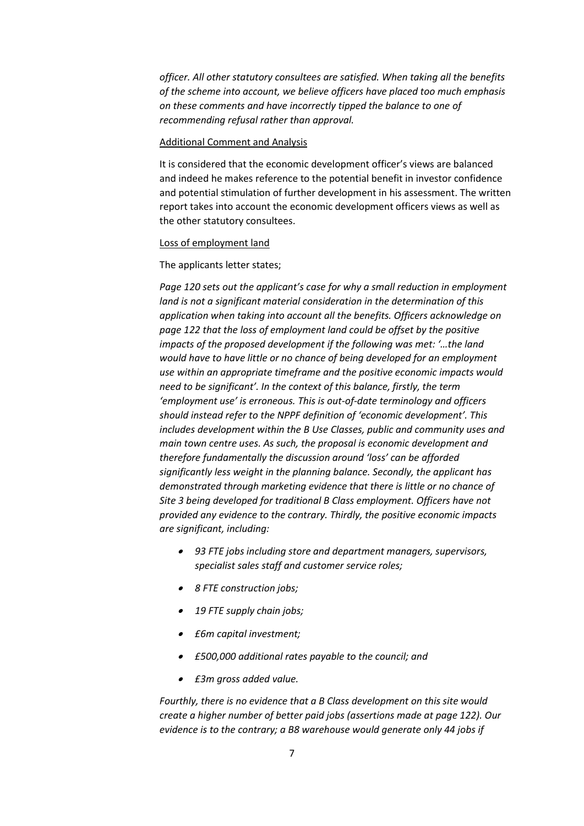*officer. All other statutory consultees are satisfied. When taking all the benefits of the scheme into account, we believe officers have placed too much emphasis on these comments and have incorrectly tipped the balance to one of recommending refusal rather than approval.*

#### Additional Comment and Analysis

It is considered that the economic development officer's views are balanced and indeed he makes reference to the potential benefit in investor confidence and potential stimulation of further development in his assessment. The written report takes into account the economic development officers views as well as the other statutory consultees.

#### Loss of employment land

The applicants letter states;

*Page 120 sets out the applicant's case for why a small reduction in employment land is not a significant material consideration in the determination of this application when taking into account all the benefits. Officers acknowledge on page 122 that the loss of employment land could be offset by the positive impacts of the proposed development if the following was met: '…the land would have to have little or no chance of being developed for an employment use within an appropriate timeframe and the positive economic impacts would need to be significant'. In the context of this balance, firstly, the term 'employment use' is erroneous. This is out-of-date terminology and officers should instead refer to the NPPF definition of 'economic development'. This includes development within the B Use Classes, public and community uses and main town centre uses. As such, the proposal is economic development and therefore fundamentally the discussion around 'loss' can be afforded significantly less weight in the planning balance. Secondly, the applicant has demonstrated through marketing evidence that there is little or no chance of Site 3 being developed for traditional B Class employment. Officers have not provided any evidence to the contrary. Thirdly, the positive economic impacts are significant, including:*

- *93 FTE jobs including store and department managers, supervisors, specialist sales staff and customer service roles;*
- *8 FTE construction jobs;*
- *19 FTE supply chain jobs;*
- *£6m capital investment;*
- *£500,000 additional rates payable to the council; and*
- *£3m gross added value.*

*Fourthly, there is no evidence that a B Class development on this site would create a higher number of better paid jobs (assertions made at page 122). Our evidence is to the contrary; a B8 warehouse would generate only 44 jobs if*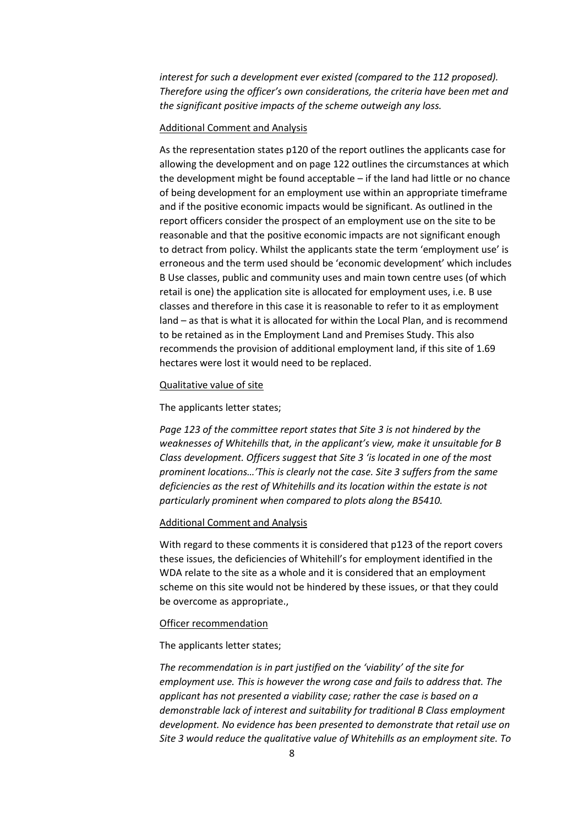*interest for such a development ever existed (compared to the 112 proposed). Therefore using the officer's own considerations, the criteria have been met and the significant positive impacts of the scheme outweigh any loss.*

### Additional Comment and Analysis

As the representation states p120 of the report outlines the applicants case for allowing the development and on page 122 outlines the circumstances at which the development might be found acceptable – if the land had little or no chance of being development for an employment use within an appropriate timeframe and if the positive economic impacts would be significant. As outlined in the report officers consider the prospect of an employment use on the site to be reasonable and that the positive economic impacts are not significant enough to detract from policy. Whilst the applicants state the term 'employment use' is erroneous and the term used should be 'economic development' which includes B Use classes, public and community uses and main town centre uses (of which retail is one) the application site is allocated for employment uses, i.e. B use classes and therefore in this case it is reasonable to refer to it as employment land – as that is what it is allocated for within the Local Plan, and is recommend to be retained as in the Employment Land and Premises Study. This also recommends the provision of additional employment land, if this site of 1.69 hectares were lost it would need to be replaced.

#### Qualitative value of site

#### The applicants letter states;

*Page 123 of the committee report states that Site 3 is not hindered by the weaknesses of Whitehills that, in the applicant's view, make it unsuitable for B Class development. Officers suggest that Site 3 'is located in one of the most prominent locations…'This is clearly not the case. Site 3 suffers from the same deficiencies as the rest of Whitehills and its location within the estate is not particularly prominent when compared to plots along the B5410.*

#### Additional Comment and Analysis

With regard to these comments it is considered that p123 of the report covers these issues, the deficiencies of Whitehill's for employment identified in the WDA relate to the site as a whole and it is considered that an employment scheme on this site would not be hindered by these issues, or that they could be overcome as appropriate.,

### Officer recommendation

The applicants letter states;

*The recommendation is in part justified on the 'viability' of the site for employment use. This is however the wrong case and fails to address that. The applicant has not presented a viability case; rather the case is based on a demonstrable lack of interest and suitability for traditional B Class employment development. No evidence has been presented to demonstrate that retail use on Site 3 would reduce the qualitative value of Whitehills as an employment site. To*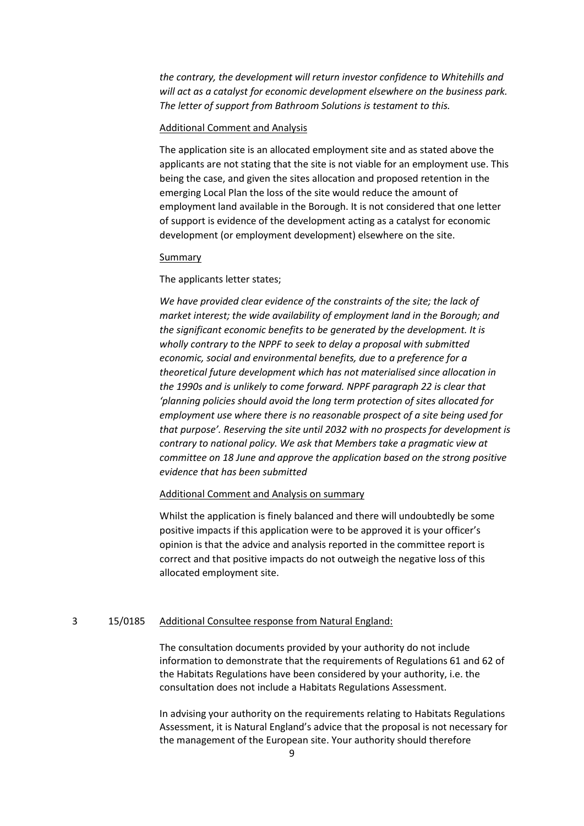*the contrary, the development will return investor confidence to Whitehills and will act as a catalyst for economic development elsewhere on the business park. The letter of support from Bathroom Solutions is testament to this.*

### Additional Comment and Analysis

The application site is an allocated employment site and as stated above the applicants are not stating that the site is not viable for an employment use. This being the case, and given the sites allocation and proposed retention in the emerging Local Plan the loss of the site would reduce the amount of employment land available in the Borough. It is not considered that one letter of support is evidence of the development acting as a catalyst for economic development (or employment development) elsewhere on the site.

#### Summary

### The applicants letter states;

*We have provided clear evidence of the constraints of the site; the lack of market interest; the wide availability of employment land in the Borough; and the significant economic benefits to be generated by the development. It is wholly contrary to the NPPF to seek to delay a proposal with submitted economic, social and environmental benefits, due to a preference for a theoretical future development which has not materialised since allocation in the 1990s and is unlikely to come forward. NPPF paragraph 22 is clear that 'planning policies should avoid the long term protection of sites allocated for employment use where there is no reasonable prospect of a site being used for that purpose'. Reserving the site until 2032 with no prospects for development is contrary to national policy. We ask that Members take a pragmatic view at committee on 18 June and approve the application based on the strong positive evidence that has been submitted*

### Additional Comment and Analysis on summary

Whilst the application is finely balanced and there will undoubtedly be some positive impacts if this application were to be approved it is your officer's opinion is that the advice and analysis reported in the committee report is correct and that positive impacts do not outweigh the negative loss of this allocated employment site.

### 3 15/0185 Additional Consultee response from Natural England:

The consultation documents provided by your authority do not include information to demonstrate that the requirements of Regulations 61 and 62 of the Habitats Regulations have been considered by your authority, i.e. the consultation does not include a Habitats Regulations Assessment.

In advising your authority on the requirements relating to Habitats Regulations Assessment, it is Natural England's advice that the proposal is not necessary for the management of the European site. Your authority should therefore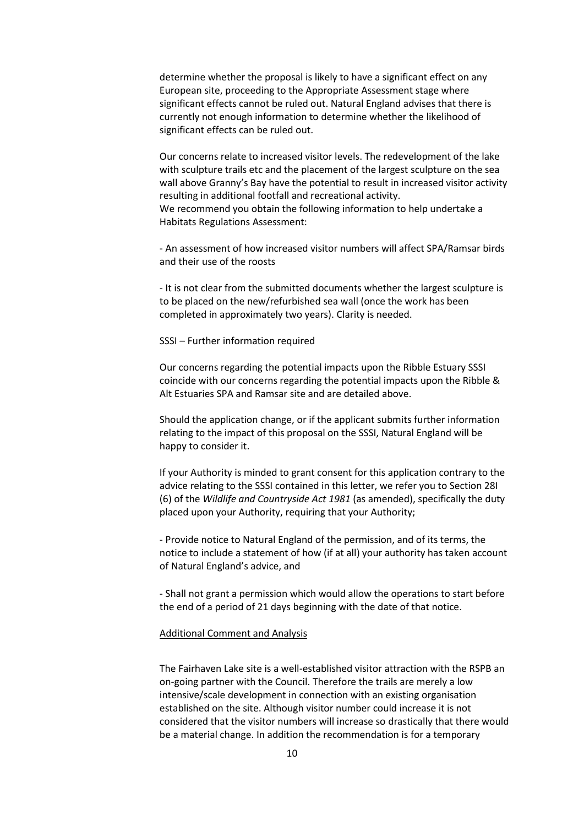determine whether the proposal is likely to have a significant effect on any European site, proceeding to the Appropriate Assessment stage where significant effects cannot be ruled out. Natural England advises that there is currently not enough information to determine whether the likelihood of significant effects can be ruled out.

Our concerns relate to increased visitor levels. The redevelopment of the lake with sculpture trails etc and the placement of the largest sculpture on the sea wall above Granny's Bay have the potential to result in increased visitor activity resulting in additional footfall and recreational activity. We recommend you obtain the following information to help undertake a Habitats Regulations Assessment:

- An assessment of how increased visitor numbers will affect SPA/Ramsar birds and their use of the roosts

- It is not clear from the submitted documents whether the largest sculpture is to be placed on the new/refurbished sea wall (once the work has been completed in approximately two years). Clarity is needed.

SSSI – Further information required

Our concerns regarding the potential impacts upon the Ribble Estuary SSSI coincide with our concerns regarding the potential impacts upon the Ribble & Alt Estuaries SPA and Ramsar site and are detailed above.

Should the application change, or if the applicant submits further information relating to the impact of this proposal on the SSSI, Natural England will be happy to consider it.

If your Authority is minded to grant consent for this application contrary to the advice relating to the SSSI contained in this letter, we refer you to Section 28I (6) of the *Wildlife and Countryside Act 1981* (as amended), specifically the duty placed upon your Authority, requiring that your Authority;

- Provide notice to Natural England of the permission, and of its terms, the notice to include a statement of how (if at all) your authority has taken account of Natural England's advice, and

- Shall not grant a permission which would allow the operations to start before the end of a period of 21 days beginning with the date of that notice.

#### Additional Comment and Analysis

The Fairhaven Lake site is a well-established visitor attraction with the RSPB an on-going partner with the Council. Therefore the trails are merely a low intensive/scale development in connection with an existing organisation established on the site. Although visitor number could increase it is not considered that the visitor numbers will increase so drastically that there would be a material change. In addition the recommendation is for a temporary